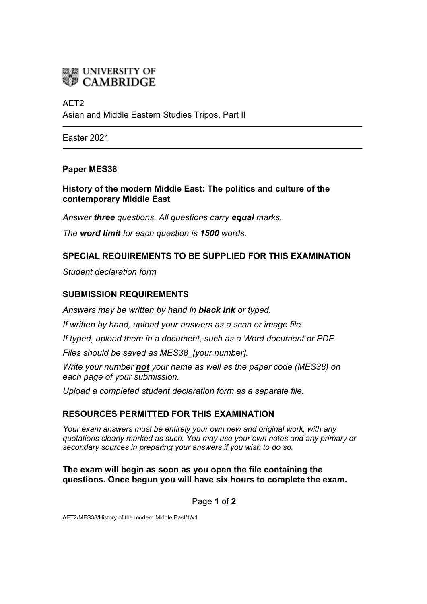

# AET2 Asian and Middle Eastern Studies Tripos, Part II

Easter 2021

## **Paper MES38**

**History of the modern Middle East: The politics and culture of the contemporary Middle East**

*Answer three questions. All questions carry equal marks.*

*The word limit for each question is 1500 words.*

## **SPECIAL REQUIREMENTS TO BE SUPPLIED FOR THIS EXAMINATION**

*Student declaration form*

## **SUBMISSION REQUIREMENTS**

*Answers may be written by hand in black ink or typed.*

*If written by hand, upload your answers as a scan or image file.*

*If typed, upload them in a document, such as a Word document or PDF.*

*Files should be saved as MES38\_[your number].*

*Write your number not your name as well as the paper code (MES38) on each page of your submission.*

*Upload a completed student declaration form as a separate file.*

# **RESOURCES PERMITTED FOR THIS EXAMINATION**

*Your exam answers must be entirely your own new and original work, with any quotations clearly marked as such. You may use your own notes and any primary or secondary sources in preparing your answers if you wish to do so.*

#### **The exam will begin as soon as you open the file containing the questions. Once begun you will have six hours to complete the exam.**

Page **1** of **2**

AET2/MES38/History of the modern Middle East/1/v1